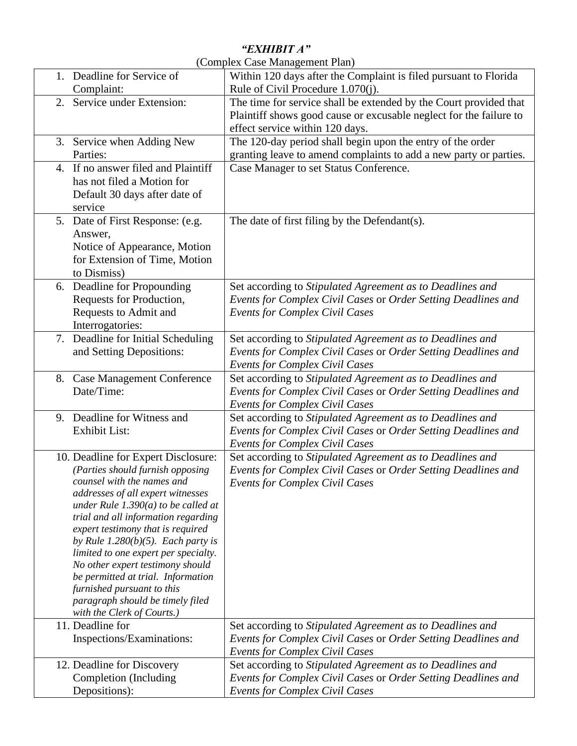## *"EXHIBIT A"*

| (Complex Case Management Plan) |  |
|--------------------------------|--|
|                                |  |

| 1. Deadline for Service of<br>Complaint:                                                                                                                                                                                                                                                                                                                                                                                                                                                                                                    | Within 120 days after the Complaint is filed pursuant to Florida<br>Rule of Civil Procedure 1.070(j).                                                                                                                            |
|---------------------------------------------------------------------------------------------------------------------------------------------------------------------------------------------------------------------------------------------------------------------------------------------------------------------------------------------------------------------------------------------------------------------------------------------------------------------------------------------------------------------------------------------|----------------------------------------------------------------------------------------------------------------------------------------------------------------------------------------------------------------------------------|
| 2. Service under Extension:                                                                                                                                                                                                                                                                                                                                                                                                                                                                                                                 | The time for service shall be extended by the Court provided that<br>Plaintiff shows good cause or excusable neglect for the failure to<br>effect service within 120 days.                                                       |
| 3. Service when Adding New<br>Parties:                                                                                                                                                                                                                                                                                                                                                                                                                                                                                                      | The 120-day period shall begin upon the entry of the order<br>granting leave to amend complaints to add a new party or parties.                                                                                                  |
| 4. If no answer filed and Plaintiff<br>has not filed a Motion for<br>Default 30 days after date of<br>service                                                                                                                                                                                                                                                                                                                                                                                                                               | Case Manager to set Status Conference.                                                                                                                                                                                           |
| 5. Date of First Response: (e.g.<br>Answer,<br>Notice of Appearance, Motion<br>for Extension of Time, Motion<br>to Dismiss)                                                                                                                                                                                                                                                                                                                                                                                                                 | The date of first filing by the Defendant(s).                                                                                                                                                                                    |
| 6. Deadline for Propounding<br>Requests for Production,<br>Requests to Admit and<br>Interrogatories:                                                                                                                                                                                                                                                                                                                                                                                                                                        | Set according to Stipulated Agreement as to Deadlines and<br>Events for Complex Civil Cases or Order Setting Deadlines and<br><b>Events for Complex Civil Cases</b>                                                              |
| 7. Deadline for Initial Scheduling<br>and Setting Depositions:                                                                                                                                                                                                                                                                                                                                                                                                                                                                              | Set according to Stipulated Agreement as to Deadlines and<br>Events for Complex Civil Cases or Order Setting Deadlines and<br><b>Events for Complex Civil Cases</b>                                                              |
| 8. Case Management Conference<br>Date/Time:                                                                                                                                                                                                                                                                                                                                                                                                                                                                                                 | Set according to Stipulated Agreement as to Deadlines and<br>Events for Complex Civil Cases or Order Setting Deadlines and<br><b>Events for Complex Civil Cases</b>                                                              |
| 9. Deadline for Witness and<br><b>Exhibit List:</b>                                                                                                                                                                                                                                                                                                                                                                                                                                                                                         | Set according to Stipulated Agreement as to Deadlines and<br>Events for Complex Civil Cases or Order Setting Deadlines and<br><b>Events for Complex Civil Cases</b>                                                              |
| 10. Deadline for Expert Disclosure:<br>(Parties should furnish opposing<br>counsel with the names and<br>addresses of all expert witnesses<br>under Rule $1.390(a)$ to be called at<br>trial and all information regarding<br>expert testimony that is required<br>by Rule 1.280(b)(5). Each party is<br>limited to one expert per specialty.<br>No other expert testimony should<br>be permitted at trial. Information<br>furnished pursuant to this<br>paragraph should be timely filed<br>with the Clerk of Courts.)<br>11. Deadline for | Set according to Stipulated Agreement as to Deadlines and<br>Events for Complex Civil Cases or Order Setting Deadlines and<br><b>Events for Complex Civil Cases</b><br>Set according to Stipulated Agreement as to Deadlines and |
| Inspections/Examinations:                                                                                                                                                                                                                                                                                                                                                                                                                                                                                                                   | Events for Complex Civil Cases or Order Setting Deadlines and<br><b>Events for Complex Civil Cases</b>                                                                                                                           |
| 12. Deadline for Discovery<br>Completion (Including<br>Depositions):                                                                                                                                                                                                                                                                                                                                                                                                                                                                        | Set according to Stipulated Agreement as to Deadlines and<br>Events for Complex Civil Cases or Order Setting Deadlines and<br><b>Events for Complex Civil Cases</b>                                                              |